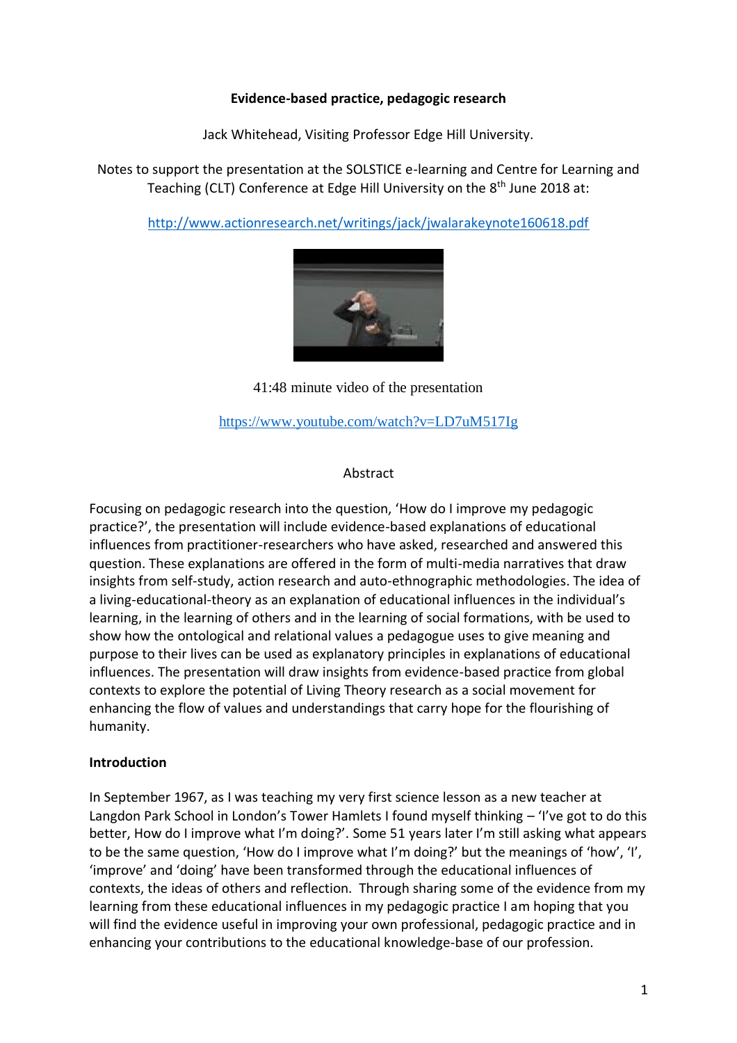#### **Evidence-based practice, pedagogic research**

Jack Whitehead, Visiting Professor Edge Hill University.

Notes to support the presentation at the SOLSTICE e-learning and Centre for Learning and Teaching (CLT) Conference at Edge Hill University on the 8<sup>th</sup> June 2018 at:

<http://www.actionresearch.net/writings/jack/jwalarakeynote160618.pdf>



41:48 minute video of the presentation

<https://www.youtube.com/watch?v=LD7uM517Ig>

### Abstract

Focusing on pedagogic research into the question, 'How do I improve my pedagogic practice?', the presentation will include evidence-based explanations of educational influences from practitioner-researchers who have asked, researched and answered this question. These explanations are offered in the form of multi-media narratives that draw insights from self-study, action research and auto-ethnographic methodologies. The idea of a living-educational-theory as an explanation of educational influences in the individual's learning, in the learning of others and in the learning of social formations, with be used to show how the ontological and relational values a pedagogue uses to give meaning and purpose to their lives can be used as explanatory principles in explanations of educational influences. The presentation will draw insights from evidence-based practice from global contexts to explore the potential of Living Theory research as a social movement for enhancing the flow of values and understandings that carry hope for the flourishing of humanity.

### **Introduction**

In September 1967, as I was teaching my very first science lesson as a new teacher at Langdon Park School in London's Tower Hamlets I found myself thinking – 'I've got to do this better, How do I improve what I'm doing?'. Some 51 years later I'm still asking what appears to be the same question, 'How do I improve what I'm doing?' but the meanings of 'how', 'I', 'improve' and 'doing' have been transformed through the educational influences of contexts, the ideas of others and reflection. Through sharing some of the evidence from my learning from these educational influences in my pedagogic practice I am hoping that you will find the evidence useful in improving your own professional, pedagogic practice and in enhancing your contributions to the educational knowledge-base of our profession.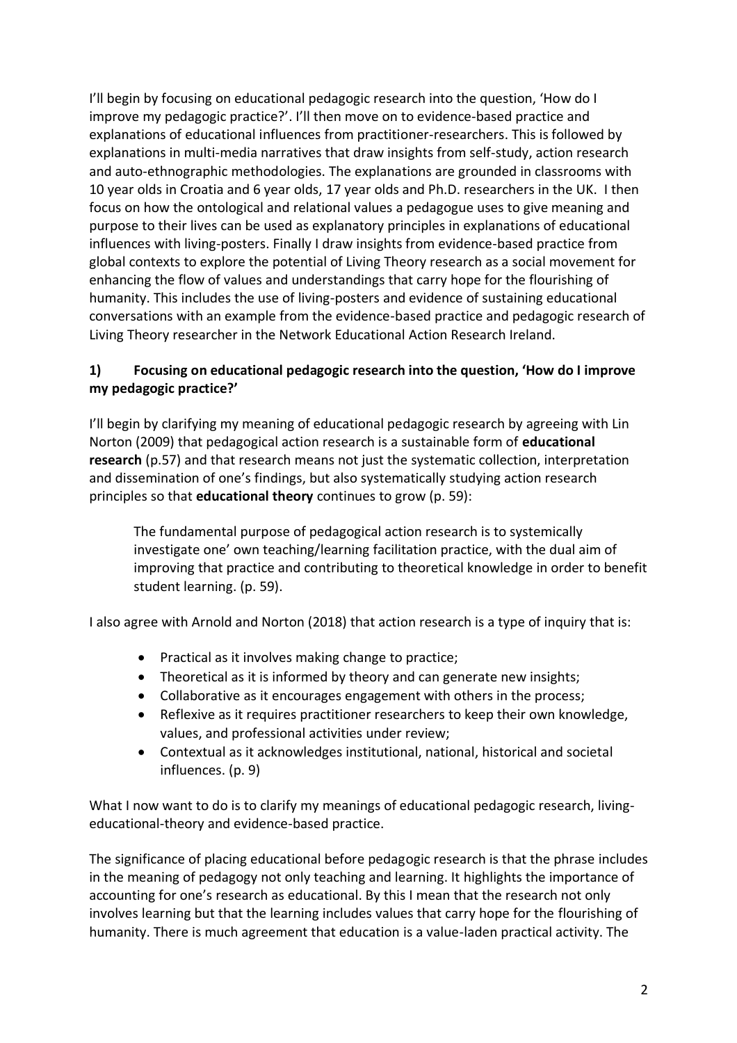I'll begin by focusing on educational pedagogic research into the question, 'How do I improve my pedagogic practice?'. I'll then move on to evidence-based practice and explanations of educational influences from practitioner-researchers. This is followed by explanations in multi-media narratives that draw insights from self-study, action research and auto-ethnographic methodologies. The explanations are grounded in classrooms with 10 year olds in Croatia and 6 year olds, 17 year olds and Ph.D. researchers in the UK. I then focus on how the ontological and relational values a pedagogue uses to give meaning and purpose to their lives can be used as explanatory principles in explanations of educational influences with living-posters. Finally I draw insights from evidence-based practice from global contexts to explore the potential of Living Theory research as a social movement for enhancing the flow of values and understandings that carry hope for the flourishing of humanity. This includes the use of living-posters and evidence of sustaining educational conversations with an example from the evidence-based practice and pedagogic research of Living Theory researcher in the Network Educational Action Research Ireland.

# **1) Focusing on educational pedagogic research into the question, 'How do I improve my pedagogic practice?'**

I'll begin by clarifying my meaning of educational pedagogic research by agreeing with Lin Norton (2009) that pedagogical action research is a sustainable form of **educational research** (p.57) and that research means not just the systematic collection, interpretation and dissemination of one's findings, but also systematically studying action research principles so that **educational theory** continues to grow (p. 59):

The fundamental purpose of pedagogical action research is to systemically investigate one' own teaching/learning facilitation practice, with the dual aim of improving that practice and contributing to theoretical knowledge in order to benefit student learning. (p. 59).

I also agree with Arnold and Norton (2018) that action research is a type of inquiry that is:

- Practical as it involves making change to practice;
- Theoretical as it is informed by theory and can generate new insights;
- Collaborative as it encourages engagement with others in the process;
- Reflexive as it requires practitioner researchers to keep their own knowledge, values, and professional activities under review;
- Contextual as it acknowledges institutional, national, historical and societal influences. (p. 9)

What I now want to do is to clarify my meanings of educational pedagogic research, livingeducational-theory and evidence-based practice.

The significance of placing educational before pedagogic research is that the phrase includes in the meaning of pedagogy not only teaching and learning. It highlights the importance of accounting for one's research as educational. By this I mean that the research not only involves learning but that the learning includes values that carry hope for the flourishing of humanity. There is much agreement that education is a value-laden practical activity. The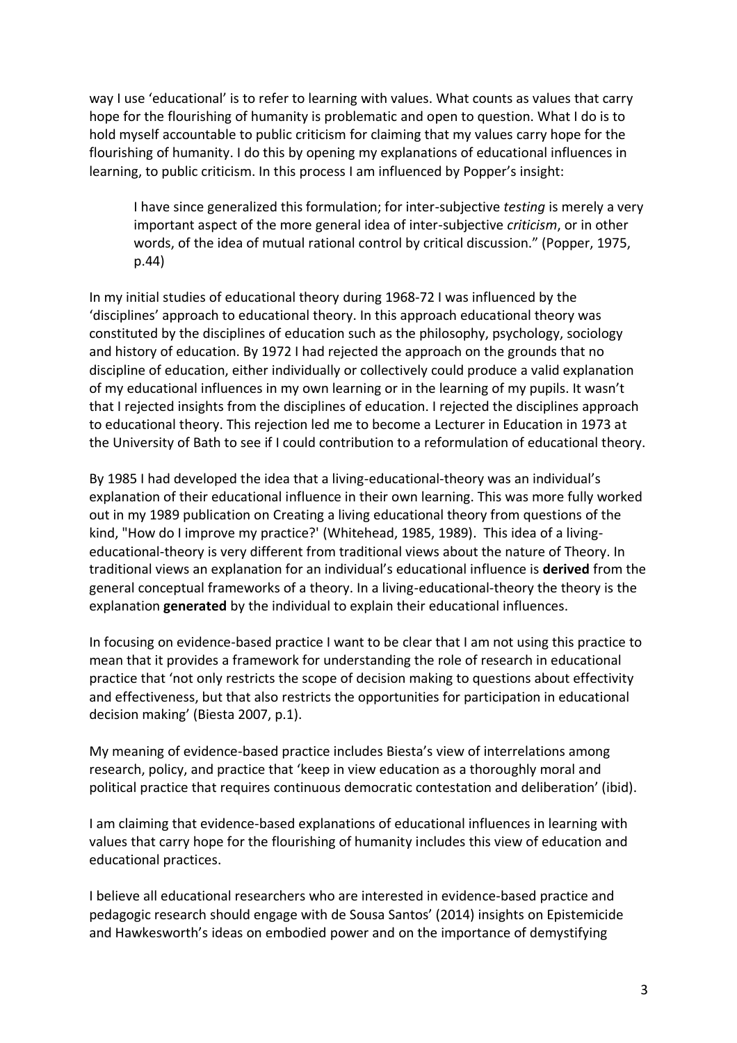way I use 'educational' is to refer to learning with values. What counts as values that carry hope for the flourishing of humanity is problematic and open to question. What I do is to hold myself accountable to public criticism for claiming that my values carry hope for the flourishing of humanity. I do this by opening my explanations of educational influences in learning, to public criticism. In this process I am influenced by Popper's insight:

I have since generalized this formulation; for inter-subjective *testing* is merely a very important aspect of the more general idea of inter-subjective *criticism*, or in other words, of the idea of mutual rational control by critical discussion." (Popper, 1975, p.44)

In my initial studies of educational theory during 1968-72 I was influenced by the 'disciplines' approach to educational theory. In this approach educational theory was constituted by the disciplines of education such as the philosophy, psychology, sociology and history of education. By 1972 I had rejected the approach on the grounds that no discipline of education, either individually or collectively could produce a valid explanation of my educational influences in my own learning or in the learning of my pupils. It wasn't that I rejected insights from the disciplines of education. I rejected the disciplines approach to educational theory. This rejection led me to become a Lecturer in Education in 1973 at the University of Bath to see if I could contribution to a reformulation of educational theory.

By 1985 I had developed the idea that a living-educational-theory was an individual's explanation of their educational influence in their own learning. This was more fully worked out in my 1989 publication on Creating a living educational theory from questions of the kind, "How do I improve my practice?' (Whitehead, 1985, 1989). This idea of a livingeducational-theory is very different from traditional views about the nature of Theory. In traditional views an explanation for an individual's educational influence is **derived** from the general conceptual frameworks of a theory. In a living-educational-theory the theory is the explanation **generated** by the individual to explain their educational influences.

In focusing on evidence-based practice I want to be clear that I am not using this practice to mean that it provides a framework for understanding the role of research in educational practice that 'not only restricts the scope of decision making to questions about effectivity and effectiveness, but that also restricts the opportunities for participation in educational decision making' (Biesta 2007, p.1).

My meaning of evidence-based practice includes Biesta's view of interrelations among research, policy, and practice that 'keep in view education as a thoroughly moral and political practice that requires continuous democratic contestation and deliberation' (ibid).

I am claiming that evidence-based explanations of educational influences in learning with values that carry hope for the flourishing of humanity includes this view of education and educational practices.

I believe all educational researchers who are interested in evidence-based practice and pedagogic research should engage with de Sousa Santos' (2014) insights on Epistemicide and Hawkesworth's ideas on embodied power and on the importance of demystifying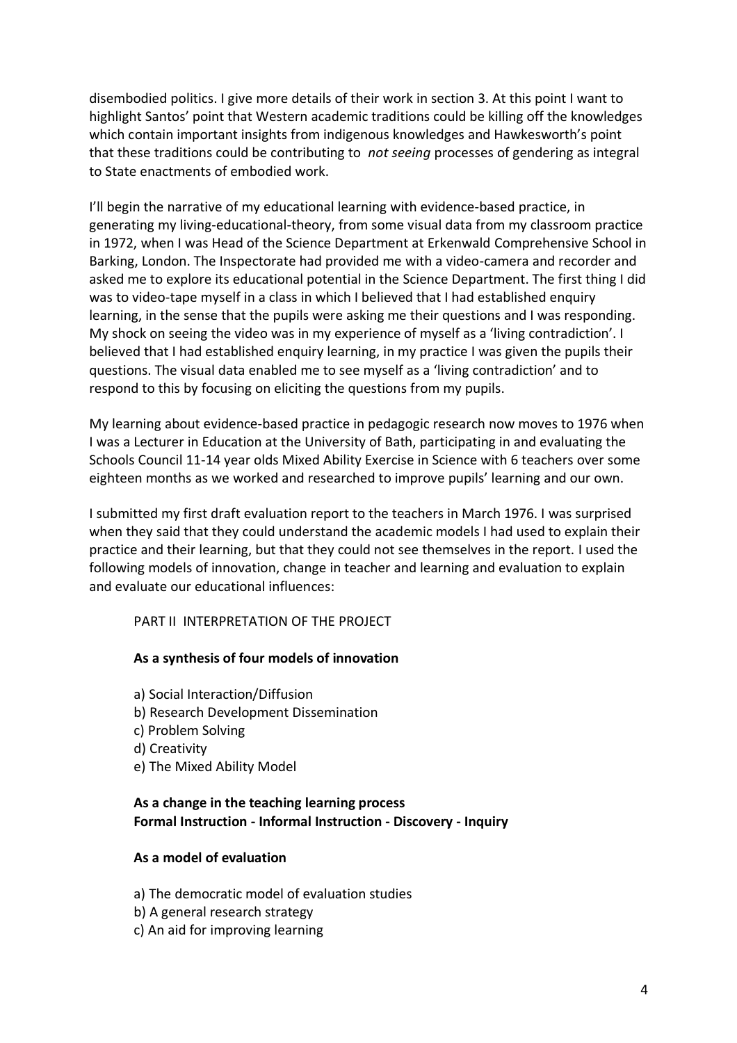disembodied politics. I give more details of their work in section 3. At this point I want to highlight Santos' point that Western academic traditions could be killing off the knowledges which contain important insights from indigenous knowledges and Hawkesworth's point that these traditions could be contributing to *not seeing* processes of gendering as integral to State enactments of embodied work.

I'll begin the narrative of my educational learning with evidence-based practice, in generating my living-educational-theory, from some visual data from my classroom practice in 1972, when I was Head of the Science Department at Erkenwald Comprehensive School in Barking, London. The Inspectorate had provided me with a video-camera and recorder and asked me to explore its educational potential in the Science Department. The first thing I did was to video-tape myself in a class in which I believed that I had established enquiry learning, in the sense that the pupils were asking me their questions and I was responding. My shock on seeing the video was in my experience of myself as a 'living contradiction'. I believed that I had established enquiry learning, in my practice I was given the pupils their questions. The visual data enabled me to see myself as a 'living contradiction' and to respond to this by focusing on eliciting the questions from my pupils.

My learning about evidence-based practice in pedagogic research now moves to 1976 when I was a Lecturer in Education at the University of Bath, participating in and evaluating the Schools Council 11-14 year olds Mixed Ability Exercise in Science with 6 teachers over some eighteen months as we worked and researched to improve pupils' learning and our own.

I submitted my first draft evaluation report to the teachers in March 1976. I was surprised when they said that they could understand the academic models I had used to explain their practice and their learning, but that they could not see themselves in the report. I used the following models of innovation, change in teacher and learning and evaluation to explain and evaluate our educational influences:

PART II INTERPRETATION OF THE PROJECT

#### **As a synthesis of four models of innovation**

a) Social Interaction/Diffusion b) Research Development Dissemination c) Problem Solving d) Creativity e) The Mixed Ability Model

# **As a change in the teaching learning process Formal Instruction - Informal Instruction - Discovery - Inquiry**

#### **As a model of evaluation**

a) The democratic model of evaluation studies

- b) A general research strategy
- c) An aid for improving learning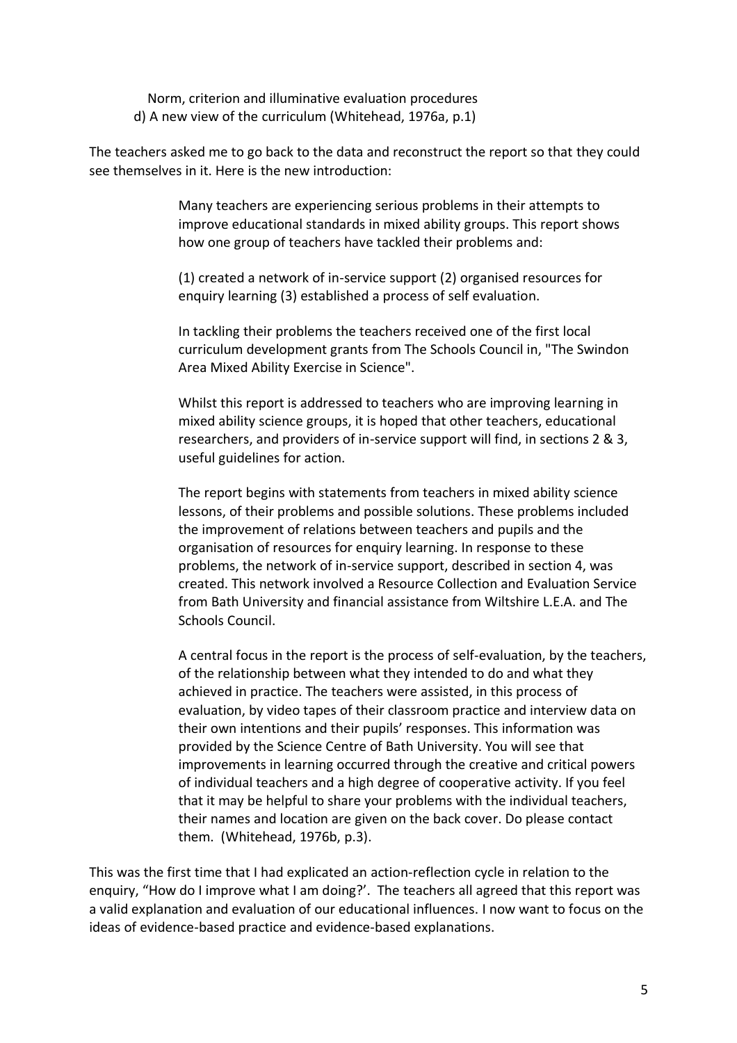Norm, criterion and illuminative evaluation procedures d) A new view of the curriculum (Whitehead, 1976a, p.1)

The teachers asked me to go back to the data and reconstruct the report so that they could see themselves in it. Here is the new introduction:

> Many teachers are experiencing serious problems in their attempts to improve educational standards in mixed ability groups. This report shows how one group of teachers have tackled their problems and:

(1) created a network of in-service support (2) organised resources for enquiry learning (3) established a process of self evaluation.

In tackling their problems the teachers received one of the first local curriculum development grants from The Schools Council in, "The Swindon Area Mixed Ability Exercise in Science".

Whilst this report is addressed to teachers who are improving learning in mixed ability science groups, it is hoped that other teachers, educational researchers, and providers of in-service support will find, in sections 2 & 3, useful guidelines for action.

The report begins with statements from teachers in mixed ability science lessons, of their problems and possible solutions. These problems included the improvement of relations between teachers and pupils and the organisation of resources for enquiry learning. In response to these problems, the network of in-service support, described in section 4, was created. This network involved a Resource Collection and Evaluation Service from Bath University and financial assistance from Wiltshire L.E.A. and The Schools Council.

A central focus in the report is the process of self-evaluation, by the teachers, of the relationship between what they intended to do and what they achieved in practice. The teachers were assisted, in this process of evaluation, by video tapes of their classroom practice and interview data on their own intentions and their pupils' responses. This information was provided by the Science Centre of Bath University. You will see that improvements in learning occurred through the creative and critical powers of individual teachers and a high degree of cooperative activity. If you feel that it may be helpful to share your problems with the individual teachers, their names and location are given on the back cover. Do please contact them. (Whitehead, 1976b, p.3).

This was the first time that I had explicated an action-reflection cycle in relation to the enquiry, "How do I improve what I am doing?'. The teachers all agreed that this report was a valid explanation and evaluation of our educational influences. I now want to focus on the ideas of evidence-based practice and evidence-based explanations.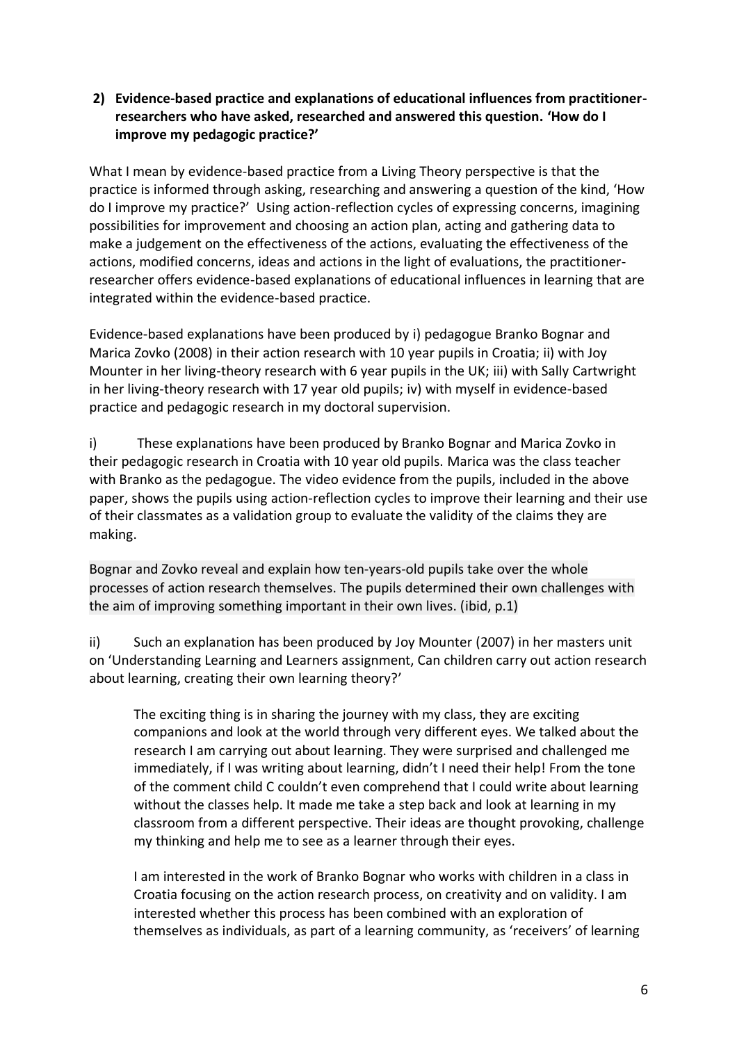# **2) Evidence-based practice and explanations of educational influences from practitionerresearchers who have asked, researched and answered this question. 'How do I improve my pedagogic practice?'**

What I mean by evidence-based practice from a Living Theory perspective is that the practice is informed through asking, researching and answering a question of the kind, 'How do I improve my practice?' Using action-reflection cycles of expressing concerns, imagining possibilities for improvement and choosing an action plan, acting and gathering data to make a judgement on the effectiveness of the actions, evaluating the effectiveness of the actions, modified concerns, ideas and actions in the light of evaluations, the practitionerresearcher offers evidence-based explanations of educational influences in learning that are integrated within the evidence-based practice.

Evidence-based explanations have been produced by i) pedagogue Branko Bognar and Marica Zovko (2008) in their action research with 10 year pupils in Croatia; ii) with Joy Mounter in her living-theory research with 6 year pupils in the UK; iii) with Sally Cartwright in her living-theory research with 17 year old pupils; iv) with myself in evidence-based practice and pedagogic research in my doctoral supervision.

i) These explanations have been produced by Branko Bognar and Marica Zovko in their pedagogic research in Croatia with 10 year old pupils. Marica was the class teacher with Branko as the pedagogue. The video evidence from the pupils, included in the above paper, shows the pupils using action-reflection cycles to improve their learning and their use of their classmates as a validation group to evaluate the validity of the claims they are making.

Bognar and Zovko reveal and explain how ten-years-old pupils take over the whole processes of action research themselves. The pupils determined their own challenges with the aim of improving something important in their own lives. (ibid, p.1)

ii) Such an explanation has been produced by Joy Mounter (2007) in her masters unit on 'Understanding Learning and Learners assignment, Can children carry out action research about learning, creating their own learning theory?'

The exciting thing is in sharing the journey with my class, they are exciting companions and look at the world through very different eyes. We talked about the research I am carrying out about learning. They were surprised and challenged me immediately, if I was writing about learning, didn't I need their help! From the tone of the comment child C couldn't even comprehend that I could write about learning without the classes help. It made me take a step back and look at learning in my classroom from a different perspective. Their ideas are thought provoking, challenge my thinking and help me to see as a learner through their eyes.

I am interested in the work of Branko Bognar who works with children in a class in Croatia focusing on the action research process, on creativity and on validity. I am interested whether this process has been combined with an exploration of themselves as individuals, as part of a learning community, as 'receivers' of learning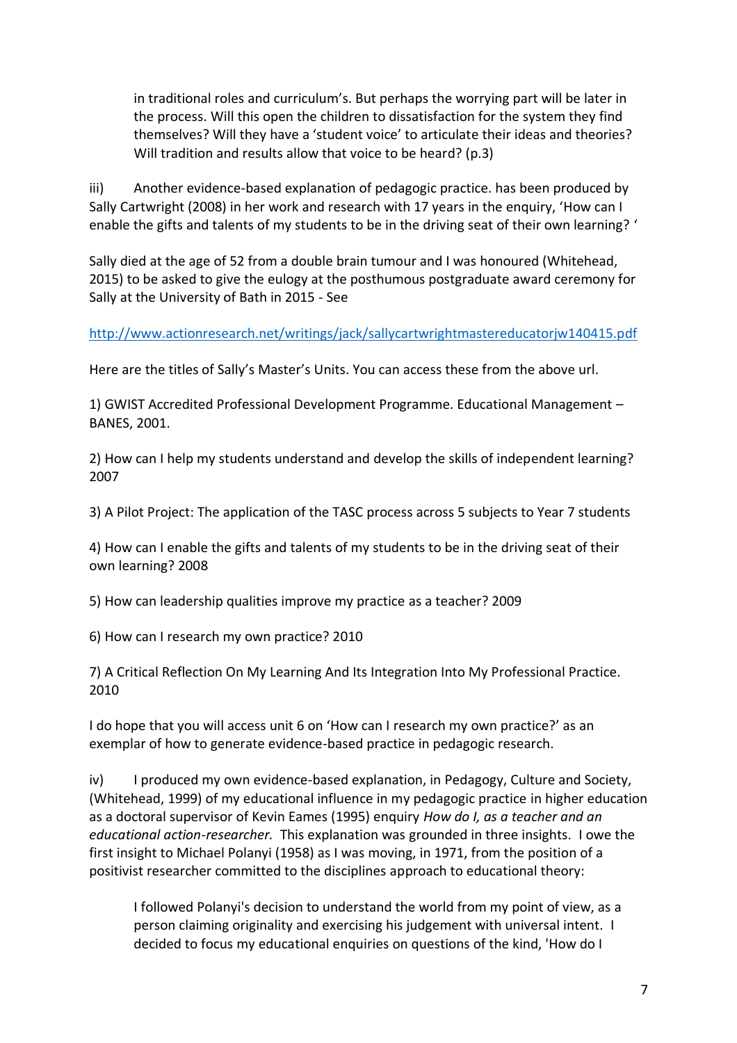in traditional roles and curriculum's. But perhaps the worrying part will be later in the process. Will this open the children to dissatisfaction for the system they find themselves? Will they have a 'student voice' to articulate their ideas and theories? Will tradition and results allow that voice to be heard? (p.3)

iii) Another evidence-based explanation of pedagogic practice. has been produced by Sally Cartwright (2008) in her work and research with 17 years in the enquiry, 'How can I enable the gifts and talents of my students to be in the driving seat of their own learning? '

Sally died at the age of 52 from a double brain tumour and I was honoured (Whitehead, 2015) to be asked to give the eulogy at the posthumous postgraduate award ceremony for Sally at the University of Bath in 2015 - See

<http://www.actionresearch.net/writings/jack/sallycartwrightmastereducatorjw140415.pdf>

Here are the titles of Sally's Master's Units. You can access these from the above url.

1) GWIST Accredited Professional Development Programme. Educational Management – BANES, 2001.

2) How can I help my students understand and develop the skills of independent learning? 2007

3) A Pilot Project: The application of the TASC process across 5 subjects to Year 7 students

4) How can I enable the gifts and talents of my students to be in the driving seat of their own learning? 2008

5) How can leadership qualities improve my practice as a teacher? 2009

6) How can I research my own practice? 2010

7) A Critical Reflection On My Learning And Its Integration Into My Professional Practice. 2010

I do hope that you will access unit 6 on 'How can I research my own practice?' as an exemplar of how to generate evidence-based practice in pedagogic research.

iv) I produced my own evidence-based explanation, in Pedagogy, Culture and Society, (Whitehead, 1999) of my educational influence in my pedagogic practice in higher education as a doctoral supervisor of Kevin Eames (1995) enquiry *How do I, as a teacher and an educational action-researcher.* This explanation was grounded in three insights. I owe the first insight to Michael Polanyi (1958) as I was moving, in 1971, from the position of a positivist researcher committed to the disciplines approach to educational theory:

I followed Polanyi's decision to understand the world from my point of view, as a person claiming originality and exercising his judgement with universal intent. I decided to focus my educational enquiries on questions of the kind, 'How do I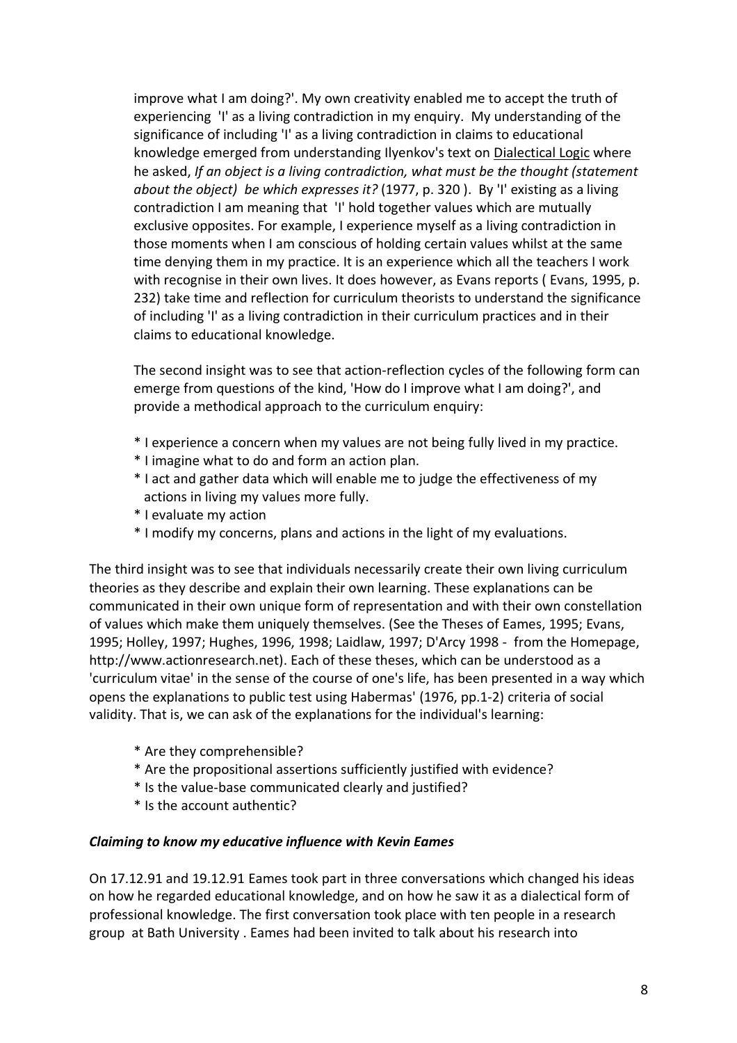improve what I am doing?'. My own creativity enabled me to accept the truth of experiencing 'I' as a living contradiction in my enquiry. My understanding of the significance of including 'I' as a living contradiction in claims to educational knowledge emerged from understanding Ilyenkov's text on Dialectical Logic where he asked, *If an object is a living contradiction, what must be the thought (statement about the object) be which expresses it?* (1977, p. 320 ). By 'I' existing as a living contradiction I am meaning that 'I' hold together values which are mutually exclusive opposites. For example, I experience myself as a living contradiction in those moments when I am conscious of holding certain values whilst at the same time denying them in my practice. It is an experience which all the teachers I work with recognise in their own lives. It does however, as Evans reports ( Evans, 1995, p. 232) take time and reflection for curriculum theorists to understand the significance of including 'I' as a living contradiction in their curriculum practices and in their claims to educational knowledge.

The second insight was to see that action-reflection cycles of the following form can emerge from questions of the kind, 'How do I improve what I am doing?', and provide a methodical approach to the curriculum enquiry:

- \* I experience a concern when my values are not being fully lived in my practice.
- \* I imagine what to do and form an action plan.
- \* I act and gather data which will enable me to judge the effectiveness of my actions in living my values more fully.
- \* I evaluate my action
- \* I modify my concerns, plans and actions in the light of my evaluations.

The third insight was to see that individuals necessarily create their own living curriculum theories as they describe and explain their own learning. These explanations can be communicated in their own unique form of representation and with their own constellation of values which make them uniquely themselves. (See the Theses of Eames, 1995; Evans, 1995; Holley, 1997; Hughes, 1996, 1998; Laidlaw, 1997; D'Arcy 1998 - from the Homepage, http://www.actionresearch.net). Each of these theses, which can be understood as a 'curriculum vitae' in the sense of the course of one's life, has been presented in a way which opens the explanations to public test using Habermas' (1976, pp.1-2) criteria of social validity. That is, we can ask of the explanations for the individual's learning:

- \* Are they comprehensible?
- \* Are the propositional assertions sufficiently justified with evidence?
- \* Is the value-base communicated clearly and justified?
- \* Is the account authentic?

#### *Claiming to know my educative influence with Kevin Eames*

On 17.12.91 and 19.12.91 Eames took part in three conversations which changed his ideas on how he regarded educational knowledge, and on how he saw it as a dialectical form of professional knowledge. The first conversation took place with ten people in a research group at Bath University . Eames had been invited to talk about his research into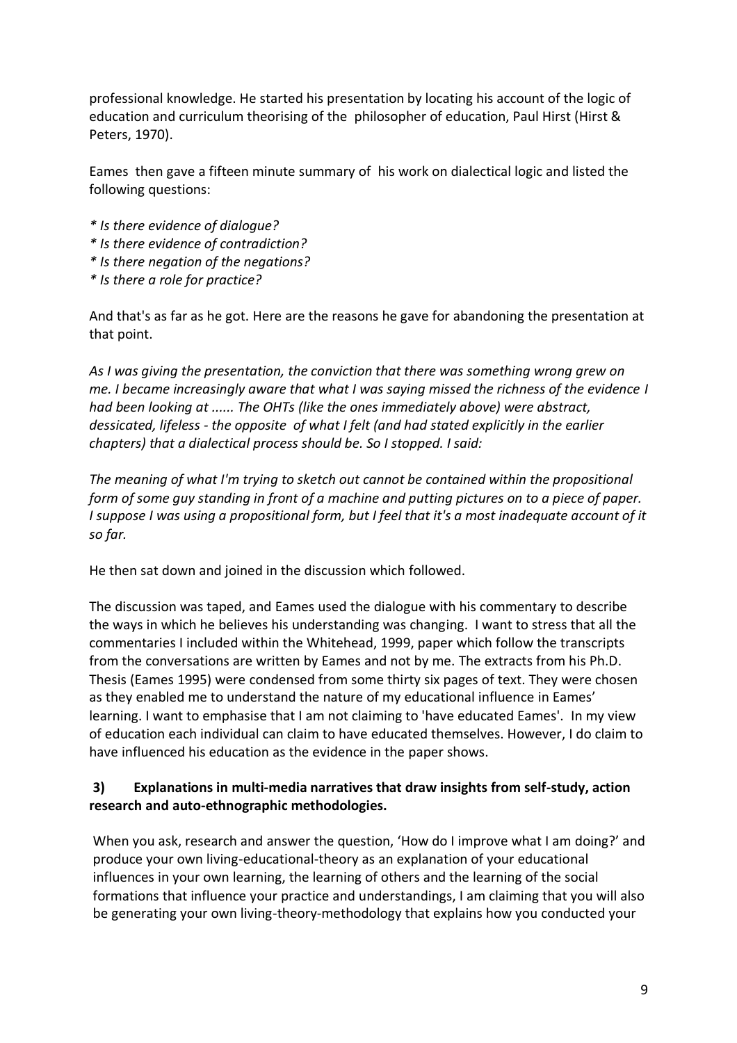professional knowledge. He started his presentation by locating his account of the logic of education and curriculum theorising of the philosopher of education, Paul Hirst (Hirst & Peters, 1970).

Eames then gave a fifteen minute summary of his work on dialectical logic and listed the following questions:

- *\* Is there evidence of dialogue?*
- *\* Is there evidence of contradiction?*
- *\* Is there negation of the negations?*
- *\* Is there a role for practice?*

And that's as far as he got. Here are the reasons he gave for abandoning the presentation at that point.

*As I was giving the presentation, the conviction that there was something wrong grew on me. I became increasingly aware that what I was saying missed the richness of the evidence I had been looking at ...... The OHTs (like the ones immediately above) were abstract, dessicated, lifeless - the opposite of what I felt (and had stated explicitly in the earlier chapters) that a dialectical process should be. So I stopped. I said:*

*The meaning of what I'm trying to sketch out cannot be contained within the propositional form of some guy standing in front of a machine and putting pictures on to a piece of paper. I suppose I was using a propositional form, but I feel that it's a most inadequate account of it so far.*

He then sat down and joined in the discussion which followed.

The discussion was taped, and Eames used the dialogue with his commentary to describe the ways in which he believes his understanding was changing. I want to stress that all the commentaries I included within the Whitehead, 1999, paper which follow the transcripts from the conversations are written by Eames and not by me. The extracts from his Ph.D. Thesis (Eames 1995) were condensed from some thirty six pages of text. They were chosen as they enabled me to understand the nature of my educational influence in Eames' learning. I want to emphasise that I am not claiming to 'have educated Eames'. In my view of education each individual can claim to have educated themselves. However, I do claim to have influenced his education as the evidence in the paper shows.

### **3) Explanations in multi-media narratives that draw insights from self-study, action research and auto-ethnographic methodologies.**

When you ask, research and answer the question, 'How do I improve what I am doing?' and produce your own living-educational-theory as an explanation of your educational influences in your own learning, the learning of others and the learning of the social formations that influence your practice and understandings, I am claiming that you will also be generating your own living-theory-methodology that explains how you conducted your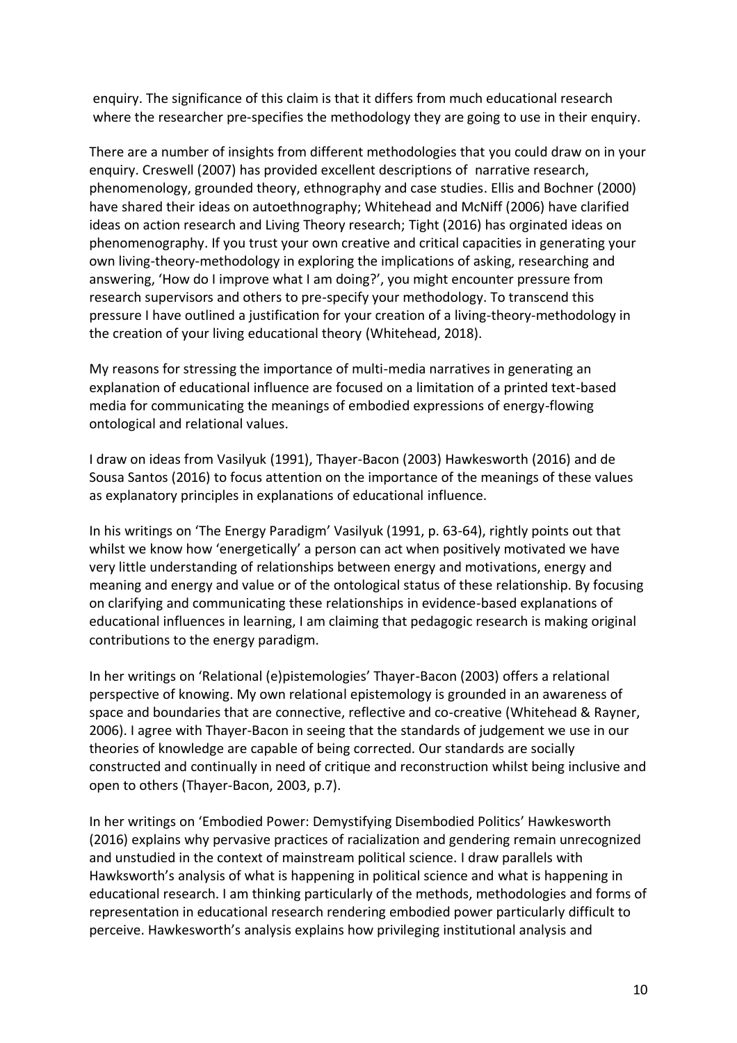enquiry. The significance of this claim is that it differs from much educational research where the researcher pre-specifies the methodology they are going to use in their enquiry.

There are a number of insights from different methodologies that you could draw on in your enquiry. Creswell (2007) has provided excellent descriptions of narrative research, phenomenology, grounded theory, ethnography and case studies. Ellis and Bochner (2000) have shared their ideas on autoethnography; Whitehead and McNiff (2006) have clarified ideas on action research and Living Theory research; Tight (2016) has orginated ideas on phenomenography. If you trust your own creative and critical capacities in generating your own living-theory-methodology in exploring the implications of asking, researching and answering, 'How do I improve what I am doing?', you might encounter pressure from research supervisors and others to pre-specify your methodology. To transcend this pressure I have outlined a justification for your creation of a living-theory-methodology in the creation of your living educational theory (Whitehead, 2018).

My reasons for stressing the importance of multi-media narratives in generating an explanation of educational influence are focused on a limitation of a printed text-based media for communicating the meanings of embodied expressions of energy-flowing ontological and relational values.

I draw on ideas from Vasilyuk (1991), Thayer-Bacon (2003) Hawkesworth (2016) and de Sousa Santos (2016) to focus attention on the importance of the meanings of these values as explanatory principles in explanations of educational influence.

In his writings on 'The Energy Paradigm' Vasilyuk (1991, p. 63-64), rightly points out that whilst we know how 'energetically' a person can act when positively motivated we have very little understanding of relationships between energy and motivations, energy and meaning and energy and value or of the ontological status of these relationship. By focusing on clarifying and communicating these relationships in evidence-based explanations of educational influences in learning, I am claiming that pedagogic research is making original contributions to the energy paradigm.

In her writings on 'Relational (e)pistemologies' Thayer-Bacon (2003) offers a relational perspective of knowing. My own relational epistemology is grounded in an awareness of space and boundaries that are connective, reflective and co-creative (Whitehead & Rayner, 2006). I agree with Thayer-Bacon in seeing that the standards of judgement we use in our theories of knowledge are capable of being corrected. Our standards are socially constructed and continually in need of critique and reconstruction whilst being inclusive and open to others (Thayer-Bacon, 2003, p.7).

In her writings on 'Embodied Power: Demystifying Disembodied Politics' Hawkesworth (2016) explains why pervasive practices of racialization and gendering remain unrecognized and unstudied in the context of mainstream political science. I draw parallels with Hawksworth's analysis of what is happening in political science and what is happening in educational research. I am thinking particularly of the methods, methodologies and forms of representation in educational research rendering embodied power particularly difficult to perceive. Hawkesworth's analysis explains how privileging institutional analysis and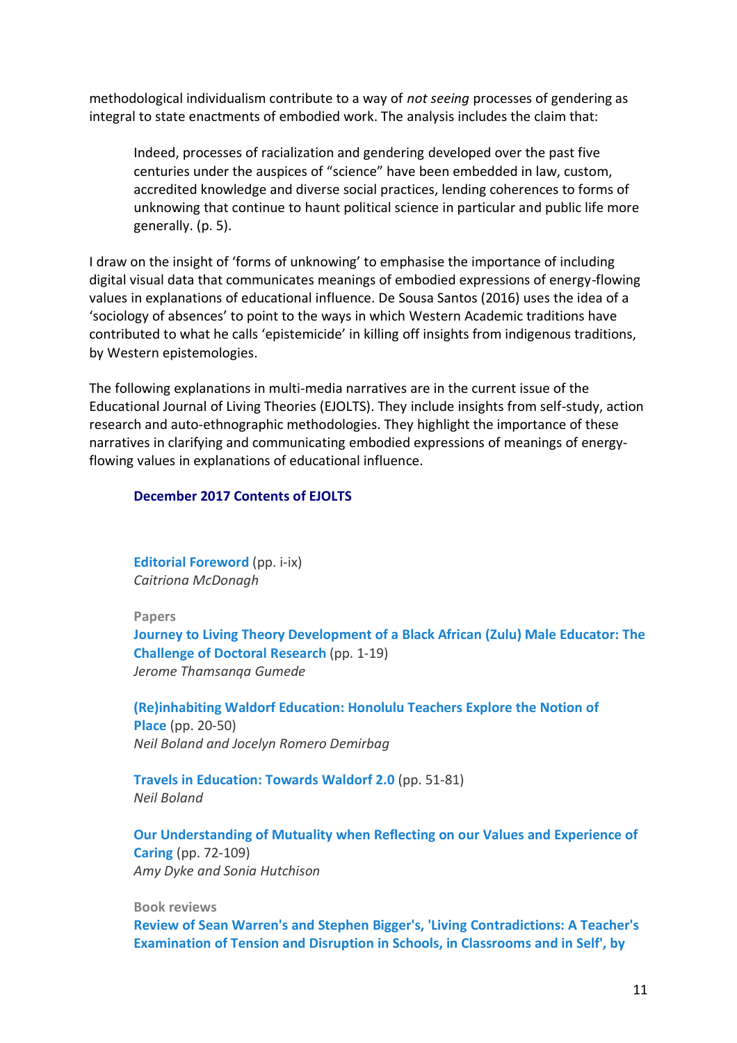methodological individualism contribute to a way of *not seeing* processes of gendering as integral to state enactments of embodied work. The analysis includes the claim that:

Indeed, processes of racialization and gendering developed over the past five centuries under the auspices of "science" have been embedded in law, custom, accredited knowledge and diverse social practices, lending coherences to forms of unknowing that continue to haunt political science in particular and public life more generally. (p. 5).

I draw on the insight of 'forms of unknowing' to emphasise the importance of including digital visual data that communicates meanings of embodied expressions of energy-flowing values in explanations of educational influence. De Sousa Santos (2016) uses the idea of a 'sociology of absences' to point to the ways in which Western Academic traditions have contributed to what he calls 'epistemicide' in killing off insights from indigenous traditions, by Western epistemologies.

The following explanations in multi-media narratives are in the current issue of the Educational Journal of Living Theories (EJOLTS). They include insights from self-study, action research and auto-ethnographic methodologies. They highlight the importance of these narratives in clarifying and communicating embodied expressions of meanings of energyflowing values in explanations of educational influence.

#### **December 2017 Contents of EJOLTS**

**Editorial [Foreword](http://www.ejolts.net/node/307)** (pp. i-ix) *Caitriona McDonagh*

**Papers**

**Journey to Living Theory [Development](http://ejolts.net/node/308) of a Black African (Zulu) Male Educator: The [Challenge](http://ejolts.net/node/308) of Doctoral Research** (pp. 1-19) *Jerome Thamsanqa Gumede*

**[\(Re\)inhabiting](http://ejolts.net/node/309) Waldorf Education: Honolulu Teachers Explore the Notion of [Place](http://ejolts.net/node/309)** (pp. 20-50) *Neil Boland and Jocelyn Romero Demirbag*

**Travels in [Education:](http://ejolts.net/node/310) Towards Waldorf 2.0** (pp. 51-81) *Neil Boland*

**Our [Understanding](http://ejolts.net/node/311) of Mutuality when Reflecting on our Values and Experience of [Caring](http://ejolts.net/node/311)** (pp. 72-109) *Amy Dyke and Sonia Hutchison*

**Book reviews**

**Review of Sean Warren's and Stephen Bigger's, 'Living [Contradictions:](http://ejolts.net/node/312) A Teacher's [Examination](http://ejolts.net/node/312) of Tension and Disruption in Schools, in Classrooms and in Self', by**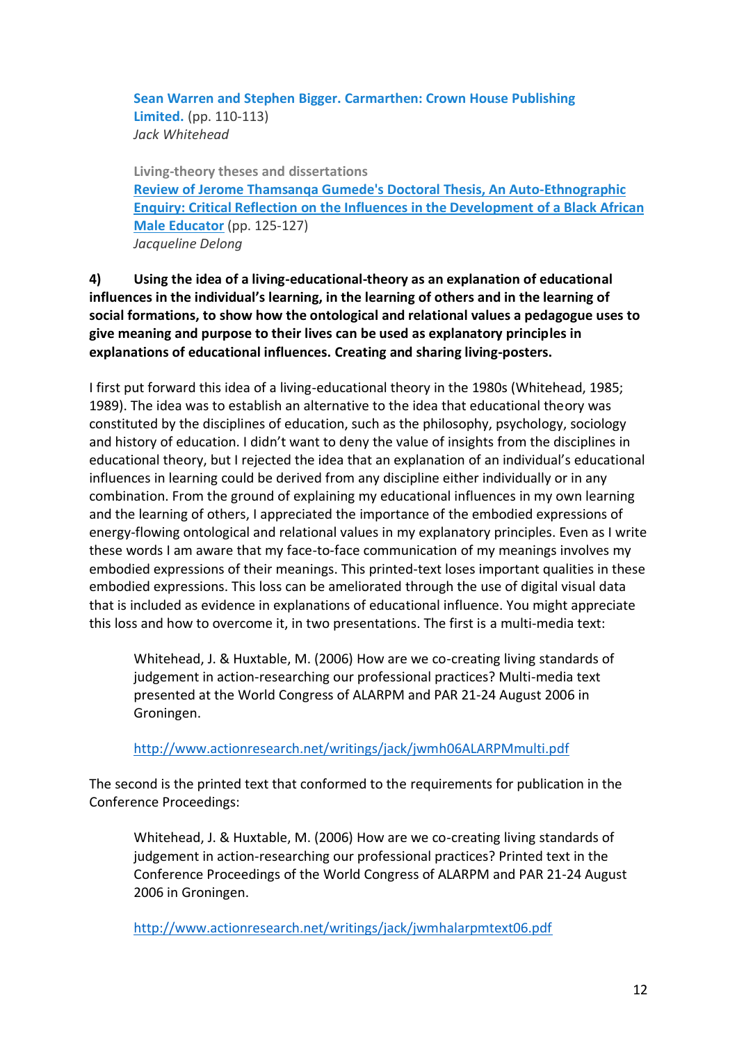**Sean Warren and Stephen Bigger. [Carmarthen:](http://ejolts.net/node/312) Crown House Publishing [Limited.](http://ejolts.net/node/312)** (pp. 110-113) *Jack Whitehead*

**Living-theory theses and dissertations Review of Jerome Thamsanqa Gumede's Doctoral Thesis, An [Auto-Ethnographic](http://ejolts.net/node/313) Enquiry: Critical Reflection on the Influences in the [Development](http://ejolts.net/node/313) of a Black African Male [Educator](http://ejolts.net/node/313)** (pp. 125-127) *Jacqueline Delong*

**4) Using the idea of a living-educational-theory as an explanation of educational influences in the individual's learning, in the learning of others and in the learning of social formations, to show how the ontological and relational values a pedagogue uses to give meaning and purpose to their lives can be used as explanatory principles in explanations of educational influences. Creating and sharing living-posters.**

I first put forward this idea of a living-educational theory in the 1980s (Whitehead, 1985; 1989). The idea was to establish an alternative to the idea that educational theory was constituted by the disciplines of education, such as the philosophy, psychology, sociology and history of education. I didn't want to deny the value of insights from the disciplines in educational theory, but I rejected the idea that an explanation of an individual's educational influences in learning could be derived from any discipline either individually or in any combination. From the ground of explaining my educational influences in my own learning and the learning of others, I appreciated the importance of the embodied expressions of energy-flowing ontological and relational values in my explanatory principles. Even as I write these words I am aware that my face-to-face communication of my meanings involves my embodied expressions of their meanings. This printed-text loses important qualities in these embodied expressions. This loss can be ameliorated through the use of digital visual data that is included as evidence in explanations of educational influence. You might appreciate this loss and how to overcome it, in two presentations. The first is a multi-media text:

Whitehead, J. & Huxtable, M. (2006) How are we co-creating living standards of judgement in action-researching our professional practices? Multi-media text presented at the World Congress of ALARPM and PAR 21-24 August 2006 in Groningen.

<http://www.actionresearch.net/writings/jack/jwmh06ALARPMmulti.pdf>

The second is the printed text that conformed to the requirements for publication in the Conference Proceedings:

Whitehead, J. & Huxtable, M. (2006) How are we co-creating living standards of judgement in action-researching our professional practices? Printed text in the Conference Proceedings of the World Congress of ALARPM and PAR 21-24 August 2006 in Groningen.

<http://www.actionresearch.net/writings/jack/jwmhalarpmtext06.pdf>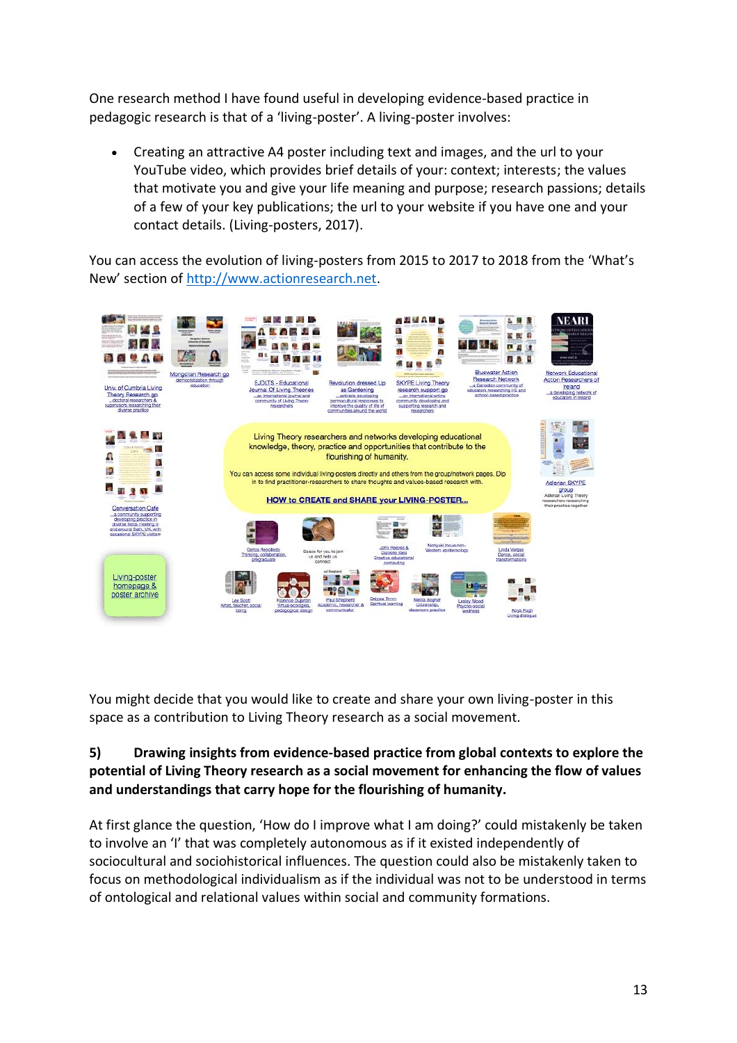One research method I have found useful in developing evidence-based practice in pedagogic research is that of a 'living-poster'. A living-poster involves:

• Creating an attractive A4 poster including text and images, and the url to your YouTube video, which provides brief details of your: context; interests; the values that motivate you and give your life meaning and purpose; research passions; details of a few of your key publications; the url to your website if you have one and your contact details. (Living-posters, 2017).

You can access the evolution of living-posters from 2015 to 2017 to 2018 from the 'What's New' section of [http://www.actionresearch.net.](http://www.actionresearch.net/)



You might decide that you would like to create and share your own living-poster in this space as a contribution to Living Theory research as a social movement.

# **5) Drawing insights from evidence-based practice from global contexts to explore the potential of Living Theory research as a social movement for enhancing the flow of values and understandings that carry hope for the flourishing of humanity.**

At first glance the question, 'How do I improve what I am doing?' could mistakenly be taken to involve an 'I' that was completely autonomous as if it existed independently of sociocultural and sociohistorical influences. The question could also be mistakenly taken to focus on methodological individualism as if the individual was not to be understood in terms of ontological and relational values within social and community formations.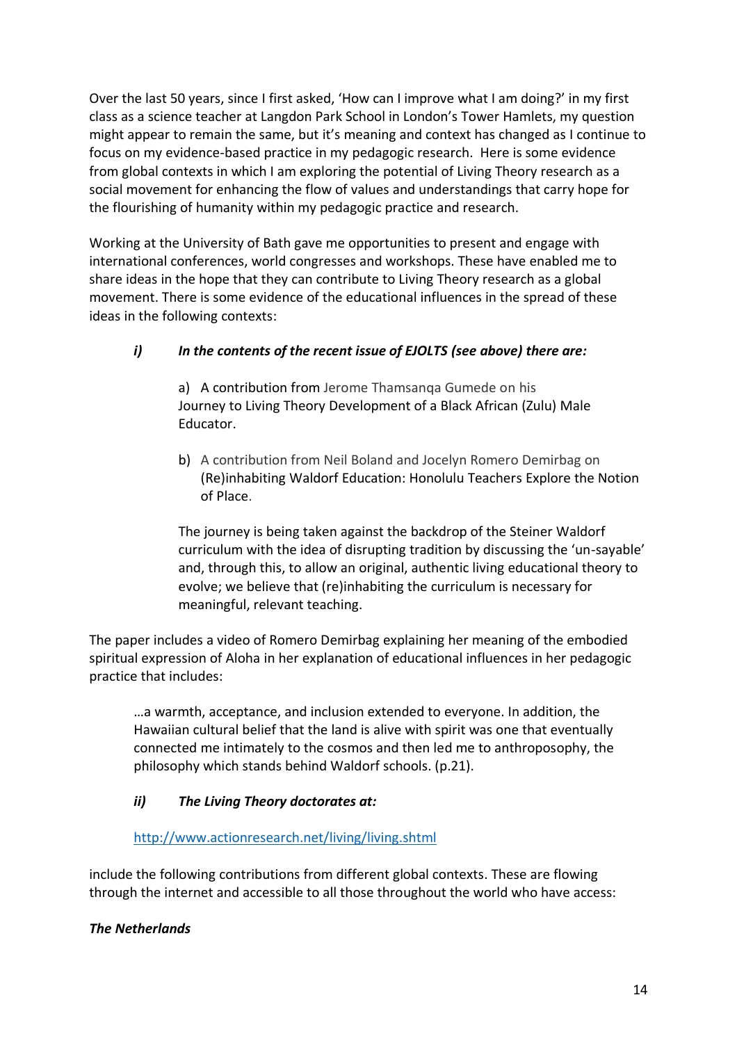Over the last 50 years, since I first asked, 'How can I improve what I am doing?' in my first class as a science teacher at Langdon Park School in London's Tower Hamlets, my question might appear to remain the same, but it's meaning and context has changed as I continue to focus on my evidence-based practice in my pedagogic research. Here is some evidence from global contexts in which I am exploring the potential of Living Theory research as a social movement for enhancing the flow of values and understandings that carry hope for the flourishing of humanity within my pedagogic practice and research.

Working at the University of Bath gave me opportunities to present and engage with international conferences, world congresses and workshops. These have enabled me to share ideas in the hope that they can contribute to Living Theory research as a global movement. There is some evidence of the educational influences in the spread of these ideas in the following contexts:

# *i) In the contents of the recent issue of EJOLTS (see above) there are:*

a) A contribution from Jerome Thamsanga Gumede on his Journey to Living Theory [Development](http://ejolts.net/node/308) of a Black African (Zulu) Male [Educator.](http://ejolts.net/node/308)

b) A contribution from Neil Boland and Jocelyn Romero Demirbag on [\(Re\)inhabiting](http://ejolts.net/node/309) Waldorf Education: Honolulu Teachers Explore the Notion of [Place.](http://ejolts.net/node/309)

The journey is being taken against the backdrop of the Steiner Waldorf curriculum with the idea of disrupting tradition by discussing the 'un-sayable' and, through this, to allow an original, authentic living educational theory to evolve; we believe that (re)inhabiting the curriculum is necessary for meaningful, relevant teaching.

The paper includes a video of Romero Demirbag explaining her meaning of the embodied spiritual expression of Aloha in her explanation of educational influences in her pedagogic practice that includes:

…a warmth, acceptance, and inclusion extended to everyone. In addition, the Hawaiian cultural belief that the land is alive with spirit was one that eventually connected me intimately to the cosmos and then led me to anthroposophy, the philosophy which stands behind Waldorf schools. (p.21).

# *ii) The Living Theory doctorates at:*

### <http://www.actionresearch.net/living/living.shtml>

include the following contributions from different global contexts. These are flowing through the internet and accessible to all those throughout the world who have access:

### *The Netherlands*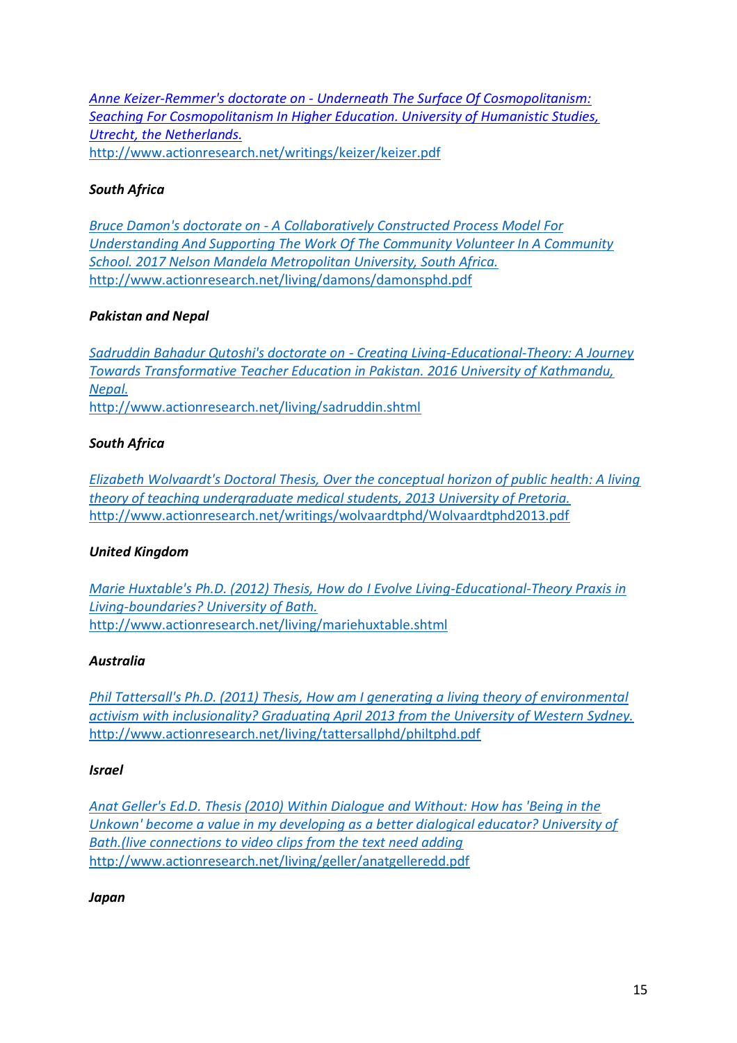*Anne Keizer-Remmer's doctorate on - [Underneath The Surface Of Cosmopolitanism:](http://www.actionresearch.net/writings/keizer/keizer.pdf)  [Seaching For Cosmopolitanism In Higher Education. University of Humanistic Studies,](http://www.actionresearch.net/writings/keizer/keizer.pdf)  [Utrecht, the Netherlands.](http://www.actionresearch.net/writings/keizer/keizer.pdf)* <http://www.actionresearch.net/writings/keizer/keizer.pdf>

### *South Africa*

*Bruce Damon's doctorate on - A Collaboratively [Constructed Process Model For](http://www.actionresearch.net/living/damons/damonsphd.pdf)  [Understanding And Supporting The Work Of The Community Volunteer In A Community](http://www.actionresearch.net/living/damons/damonsphd.pdf)  [School. 2017 Nelson Mandela Metropolitan University, South Africa.](http://www.actionresearch.net/living/damons/damonsphd.pdf)* <http://www.actionresearch.net/living/damons/damonsphd.pdf>

### *Pakistan and Nepal*

*Sadruddin Bahadur Qutoshi's doctorate on - [Creating Living-Educational-Theory: A Journey](http://www.actionresearch.net/living/sadruddin.shtml)  [Towards Transformative Teacher Education in Pakistan. 2016 University of Kathmandu,](http://www.actionresearch.net/living/sadruddin.shtml)  [Nepal.](http://www.actionresearch.net/living/sadruddin.shtml)* <http://www.actionresearch.net/living/sadruddin.shtml>

### *South Africa*

*[Elizabeth Wolvaardt's Doctoral Thesis, Over the conceptual horizon of public health: A living](http://www.actionresearch.net/writings/wolvaardtphd/Wolvaardtphd2013.pdf)  [theory of teaching undergraduate medical students, 2013 University of Pretoria.](http://www.actionresearch.net/writings/wolvaardtphd/Wolvaardtphd2013.pdf)* <http://www.actionresearch.net/writings/wolvaardtphd/Wolvaardtphd2013.pdf>

#### *United Kingdom*

*[Marie Huxtable's Ph.D. \(2012\) Thesis, How do](http://www.actionresearch.net/living/mariehuxtable.shtml) I Evolve Living-Educational-Theory Praxis in [Living-boundaries? University of Bath.](http://www.actionresearch.net/living/mariehuxtable.shtml)* <http://www.actionresearch.net/living/mariehuxtable.shtml>

#### *Australia*

*[Phil Tattersall's Ph.D. \(2011\) Thesis, How am I generating a living theory of environmental](http://www.actionresearch.net/living/tattersallphd/philtphd.pdf)  [activism with inclusionality? Graduating April 2013 from the University of Western Sydney.](http://www.actionresearch.net/living/tattersallphd/philtphd.pdf)* <http://www.actionresearch.net/living/tattersallphd/philtphd.pdf>

#### *Israel*

*[Anat Geller's Ed.D. Thesis \(2010\) Within Dialogue and Without: How has 'Being in the](http://www.actionresearch.net/living/geller/anatgelleredd.pdf)  [Unkown' become a value in my developing as a better dialogical educator? University of](http://www.actionresearch.net/living/geller/anatgelleredd.pdf)  [Bath.\(live connections to video clips from the text need adding](http://www.actionresearch.net/living/geller/anatgelleredd.pdf)* <http://www.actionresearch.net/living/geller/anatgelleredd.pdf>

#### *Japan*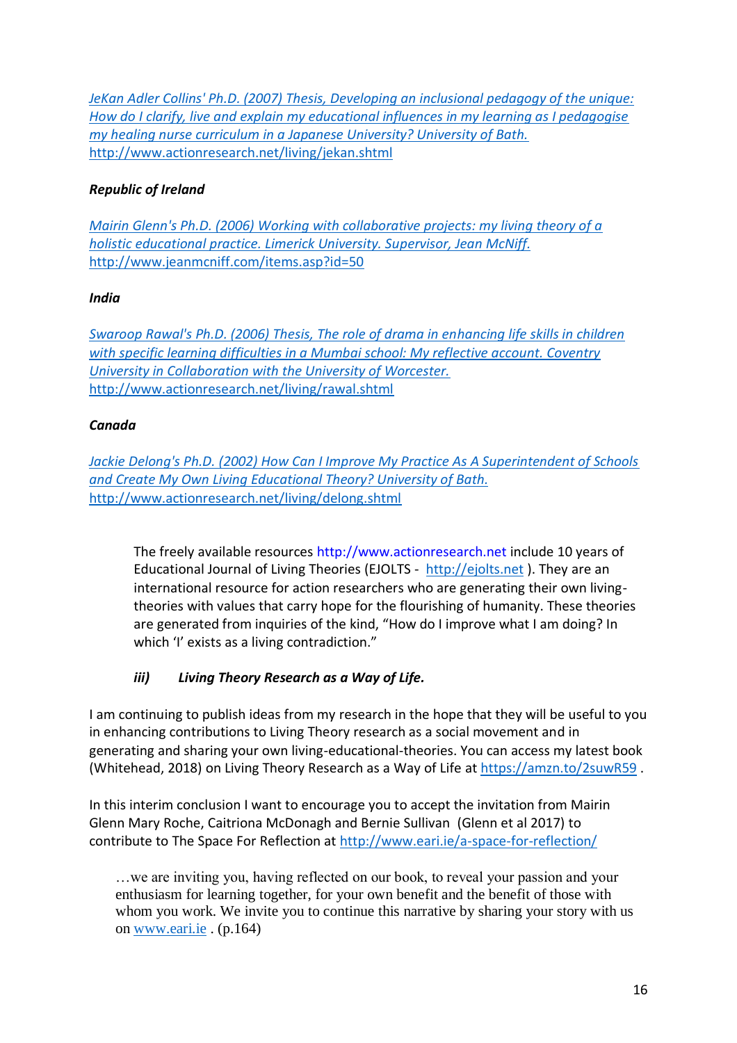*[JeKan Adler Collins' Ph.D. \(2007\) Thesis, Developing an inclusional pedagogy of the unique:](http://www.actionresearch.net/living/jekan.shtml)  [How do I clarify, live and explain my educational influences in my learning as I pedagogise](http://www.actionresearch.net/living/jekan.shtml)  [my healing nurse curriculum in a Japanese University? University of Bath.](http://www.actionresearch.net/living/jekan.shtml)* <http://www.actionresearch.net/living/jekan.shtml>

# *Republic of Ireland*

*[Mairin Glenn's Ph.D. \(2006\) Working with collaborative projects: my living theory of a](http://www.jeanmcniff.com/items.asp?id=50)  [holistic educational practice. Limerick University. Supervisor, Jean McNiff.](http://www.jeanmcniff.com/items.asp?id=50)* <http://www.jeanmcniff.com/items.asp?id=50>

### *India*

*[Swaroop Rawal's Ph.D. \(2006\) Thesis, The role of drama in enhancing life skills in children](http://www.actionresearch.net/living/rawal.shtml)  [with specific learning difficulties in a Mumbai school: My reflective account. Coventry](http://www.actionresearch.net/living/rawal.shtml)  [University in Collaboration with the University of Worcester.](http://www.actionresearch.net/living/rawal.shtml)* <http://www.actionresearch.net/living/rawal.shtml>

### *Canada*

*[Jackie Delong's Ph.D. \(2002\) How Can I Improve My Practice As A Superintendent of Schools](http://www.actionresearch.net/living/delong.shtml)  [and Create My Own Living Educational Theory? University of Bath.](http://www.actionresearch.net/living/delong.shtml)* <http://www.actionresearch.net/living/delong.shtml>

The freely available resources http://www.actionresearch.net include 10 years of Educational Journal of Living Theories (EJOLTS - [http://ejolts.net](http://ejolts.net/) ). They are an international resource for action researchers who are generating their own livingtheories with values that carry hope for the flourishing of humanity. These theories are generated from inquiries of the kind, "How do I improve what I am doing? In which 'I' exists as a living contradiction."

# *iii) Living Theory Research as a Way of Life.*

I am continuing to publish ideas from my research in the hope that they will be useful to you in enhancing contributions to Living Theory research as a social movement and in generating and sharing your own living-educational-theories. You can access my latest book (Whitehead, 2018) on Living Theory Research as a Way of Life a[t https://amzn.to/2suwR59](https://amzn.to/2suwR59) .

In this interim conclusion I want to encourage you to accept the invitation from Mairin Glenn Mary Roche, Caitriona McDonagh and Bernie Sullivan (Glenn et al 2017) to contribute to The Space For Reflection at<http://www.eari.ie/a-space-for-reflection/>

…we are inviting you, having reflected on our book, to reveal your passion and your enthusiasm for learning together, for your own benefit and the benefit of those with whom you work. We invite you to continue this narrative by sharing your story with us on [www.eari.ie](http://www.eari.ie/) . (p.164)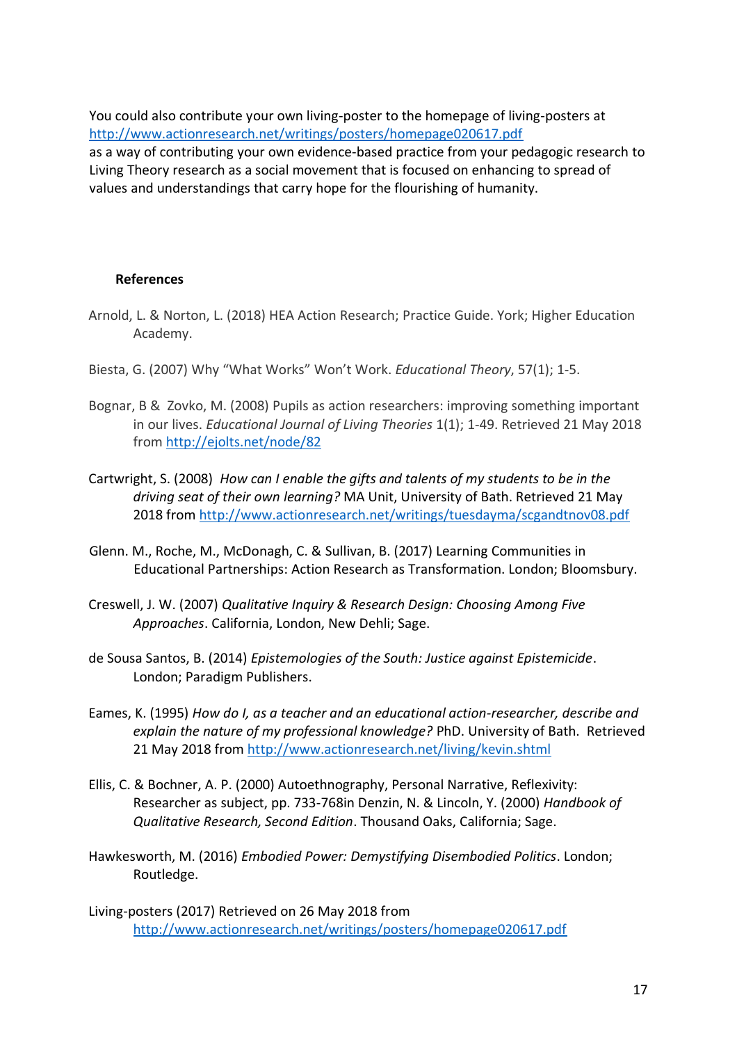You could also contribute your own living-poster to the homepage of living-posters at <http://www.actionresearch.net/writings/posters/homepage020617.pdf>

as a way of contributing your own evidence-based practice from your pedagogic research to Living Theory research as a social movement that is focused on enhancing to spread of values and understandings that carry hope for the flourishing of humanity.

#### **References**

- Arnold, L. & Norton, L. (2018) HEA Action Research; Practice Guide. York; Higher Education Academy.
- Biesta, G. (2007) Why "What Works" Won't Work. *Educational Theory*, 57(1); 1-5.
- Bognar, B & Zovko, M. (2008) Pupils as action researchers: improving something important in our lives. *Educational Journal of Living Theories* 1(1); 1-49. Retrieved 21 May 2018 from <http://ejolts.net/node/82>
- Cartwright, S. (2008) *How can I enable the gifts and talents of my students to be in the driving seat of their own learning?* MA Unit, University of Bath. Retrieved 21 May 2018 from<http://www.actionresearch.net/writings/tuesdayma/scgandtnov08.pdf>
- Glenn. M., Roche, M., McDonagh, C. & Sullivan, B. (2017) Learning Communities in Educational Partnerships: Action Research as Transformation. London; Bloomsbury.
- Creswell, J. W. (2007) *Qualitative Inquiry & Research Design: Choosing Among Five Approaches*. California, London, New Dehli; Sage.
- de Sousa Santos, B. (2014) *Epistemologies of the South: Justice against Epistemicide*. London; Paradigm Publishers.
- Eames, K. (1995) *How do I, as a teacher and an educational action-researcher, describe and explain the nature of my professional knowledge?* PhD. University of Bath.Retrieved 21 May 2018 from<http://www.actionresearch.net/living/kevin.shtml>
- Ellis, C. & Bochner, A. P. (2000) Autoethnography, Personal Narrative, Reflexivity: Researcher as subject, pp. 733-768in Denzin, N. & Lincoln, Y. (2000) *Handbook of Qualitative Research, Second Edition*. Thousand Oaks, California; Sage.
- Hawkesworth, M. (2016) *Embodied Power: Demystifying Disembodied Politics*. London; Routledge.
- Living-posters (2017) Retrieved on 26 May 2018 from <http://www.actionresearch.net/writings/posters/homepage020617.pdf>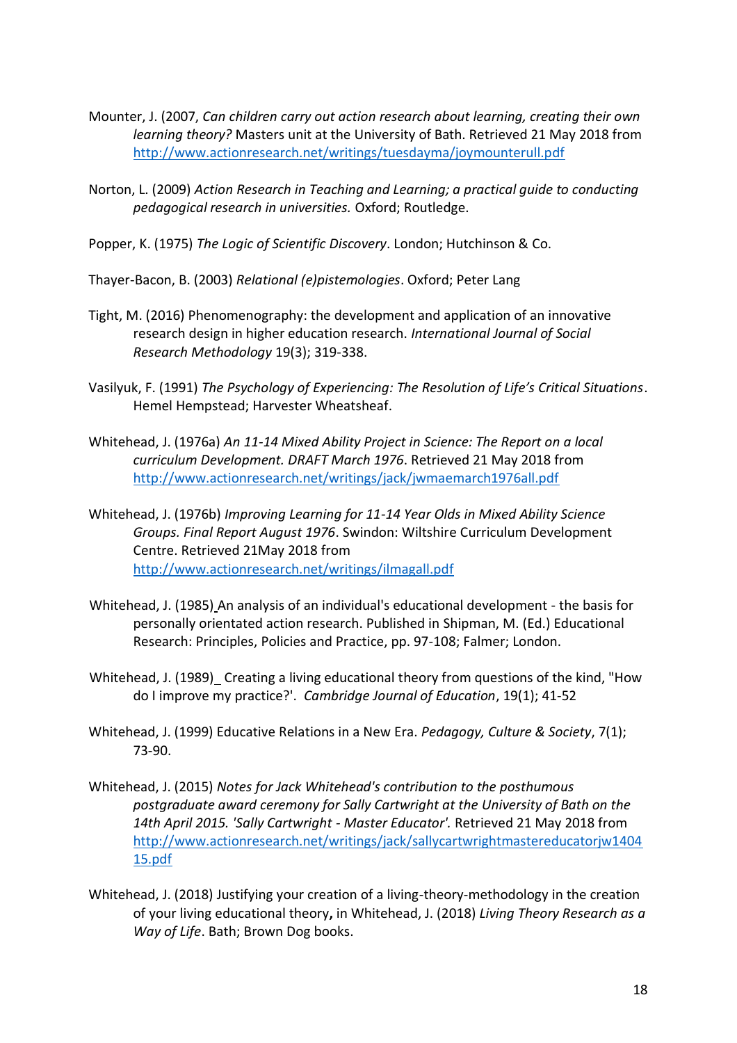- Mounter, J. (2007, *Can children carry out action research about learning, creating their own learning theory?* Masters unit at the University of Bath. Retrieved 21 May 2018 from <http://www.actionresearch.net/writings/tuesdayma/joymounterull.pdf>
- Norton, L. (2009) *Action Research in Teaching and Learning; a practical guide to conducting pedagogical research in universities.* Oxford; Routledge.

Popper, K. (1975) *The Logic of Scientific Discovery*. London; Hutchinson & Co.

Thayer-Bacon, B. (2003) *Relational (e)pistemologies*. Oxford; Peter Lang

- Tight, M. (2016) Phenomenography: the development and application of an innovative research design in higher education research. *International Journal of Social Research Methodology* 19(3); 319-338.
- Vasilyuk, F. (1991) *The Psychology of Experiencing: The Resolution of Life's Critical Situations*. Hemel Hempstead; Harvester Wheatsheaf.
- Whitehead, J. (1976a) *An 11-14 Mixed Ability Project in Science: The Report on a local curriculum Development. DRAFT March 1976*. Retrieved 21 May 2018 from <http://www.actionresearch.net/writings/jack/jwmaemarch1976all.pdf>
- Whitehead, J. (1976b) *Improving Learning for 11-14 Year Olds in Mixed Ability Science Groups. Final Report August 1976*. Swindon: Wiltshire Curriculum Development Centre. Retrieved 21May 2018 from <http://www.actionresearch.net/writings/ilmagall.pdf>
- Whitehead, J. (1985) An analysis of an individual's educational development the basis for personally orientated action research. Published in Shipman, M. (Ed.) Educational Research: Principles, Policies and Practice, pp. 97-108; Falmer; London.
- Whitehead, J. (1989) Creating a living educational theory from questions of the kind, "How do I improve my practice?'. *Cambridge Journal of Education*, 19(1); 41-52
- Whitehead, J. (1999) Educative Relations in a New Era. *Pedagogy, Culture & Society*, 7(1); 73-90.
- Whitehead, J. (2015) *[Notes for Jack Whitehead's contribution to the posthumous](http://www.actionresearch.net/writings/jack/sallycartwrightmastereducatorjw140415.pdf)  postgraduate [award ceremony for Sally Cartwright at the University of Bath on the](http://www.actionresearch.net/writings/jack/sallycartwrightmastereducatorjw140415.pdf)  [14th April 2015. 'Sally Cartwright -](http://www.actionresearch.net/writings/jack/sallycartwrightmastereducatorjw140415.pdf) Master Educator'.* Retrieved 21 May 2018 from [http://www.actionresearch.net/writings/jack/sallycartwrightmastereducatorjw1404](http://www.actionresearch.net/writings/jack/sallycartwrightmastereducatorjw140415.pdf) [15.pdf](http://www.actionresearch.net/writings/jack/sallycartwrightmastereducatorjw140415.pdf)
- Whitehead, J. (2018) Justifying your creation of a living-theory-methodology in the creation of your living educational theory**,** in Whitehead, J. (2018) *Living Theory Research as a Way of Life*. Bath; Brown Dog books.